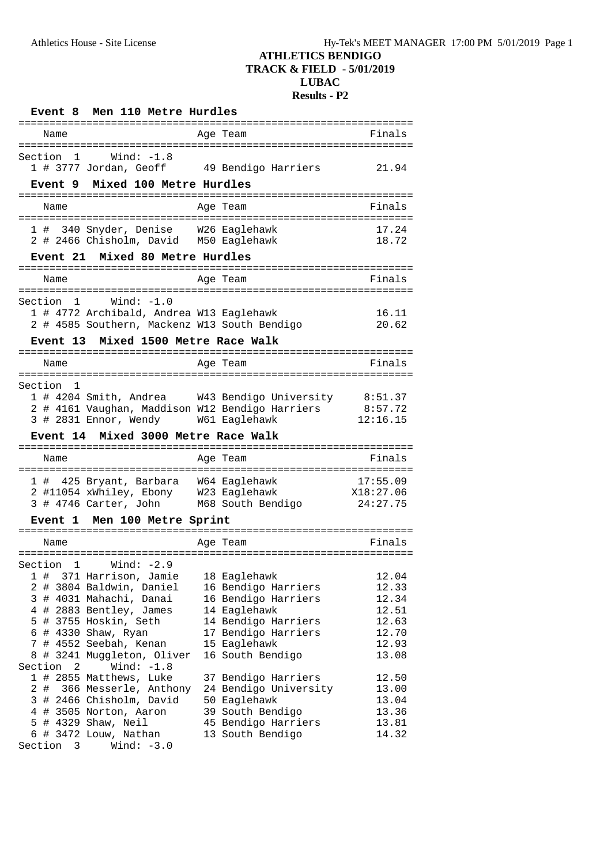| Men 110 Metre Hurdles<br>Event 8<br>=================================                     |             | =========================               |                         |
|-------------------------------------------------------------------------------------------|-------------|-----------------------------------------|-------------------------|
| Name                                                                                      |             | Age Team                                | Finals                  |
|                                                                                           |             |                                         |                         |
| Section<br>Wind: $-1.8$<br>-1<br>1 # 3777 Jordan, Geoff 49 Bendigo Harriers               |             |                                         | 21.94                   |
|                                                                                           |             |                                         |                         |
| Mixed 100 Metre Hurdles<br><b>Event</b> 9                                                 |             |                                         |                         |
| Name                                                                                      |             | Age Team                                | Finals                  |
|                                                                                           |             |                                         |                         |
| 1 # 340 Snyder, Denise W26 Eaglehawk<br>2 # 2466 Chisholm, David M50 Eaglehawk            |             |                                         | 17.24<br>18.72          |
|                                                                                           |             |                                         |                         |
| Mixed 80 Metre Hurdles<br><b>Event 21</b>                                                 |             |                                         |                         |
| Name                                                                                      |             | Age Team                                | Finals                  |
|                                                                                           |             |                                         |                         |
| Wind: $-1.0$<br>$\overline{1}$<br>Section                                                 |             |                                         |                         |
| 1 # 4772 Archibald, Andrea W13 Eaglehawk                                                  |             |                                         | 16.11                   |
| 2 # 4585 Southern, Mackenz W13 South Bendigo                                              |             |                                         | 20.62                   |
| Mixed 1500 Metre Race Walk<br><b>Event 13</b>                                             |             |                                         |                         |
| Name                                                                                      |             | Age Team                                | Finals                  |
|                                                                                           |             |                                         |                         |
| Section<br>1                                                                              |             |                                         |                         |
| 1 # 4204 Smith, Andrea W43 Bendigo University 8:51.37                                     |             |                                         |                         |
|                                                                                           |             |                                         |                         |
| 2 # 4161 Vaughan, Maddison W12 Bendigo Harriers 8:57.72                                   |             |                                         |                         |
| 3 # 2831 Ennor, Wendy W61 Eaglehawk                                                       |             |                                         | 12:16.15                |
| Mixed 3000 Metre Race Walk<br><b>Event 14</b>                                             |             |                                         | :====================== |
| Name                                                                                      |             | Age Team                                | Finals                  |
|                                                                                           | :========== |                                         |                         |
| 1 # 425 Bryant, Barbara W64 Eaglehawk                                                     |             |                                         | 17:55.09                |
| 2 #11054 xWhiley, Ebony W23 Eaglehawk<br>3 # 4746 Carter, John M68 South Bendigo 24:27.75 |             |                                         | X18:27.06               |
| Event 1                                                                                   |             |                                         |                         |
| Men 100 Metre Sprint                                                                      |             |                                         |                         |
| Name                                                                                      |             | Age Team                                | Finals                  |
|                                                                                           |             |                                         |                         |
| $\overline{1}$<br>Wind: $-2.9$                                                            |             |                                         | 12.04                   |
| 1 # 371 Harrison, Jamie<br>2 # 3804 Baldwin, Daniel                                       |             | 18 Eaglehawk<br>16 Bendigo Harriers     | 12.33                   |
| 3 # 4031 Mahachi, Danai                                                                   |             | 16 Bendigo Harriers                     | 12.34                   |
| 4 # 2883 Bentley, James                                                                   |             | 14 Eaglehawk                            | 12.51                   |
| 5 # 3755 Hoskin, Seth                                                                     |             | 14 Bendigo Harriers                     | 12.63                   |
| 6 # 4330 Shaw, Ryan                                                                       |             | 17 Bendigo Harriers                     | 12.70                   |
| 7 # 4552 Seebah, Kenan                                                                    |             | 15 Eaglehawk                            | 12.93                   |
|                                                                                           |             |                                         | 13.08                   |
| 8 # 3241 Muggleton, Oliver                                                                |             | 16 South Bendigo                        |                         |
| Wind: $-1.8$                                                                              |             |                                         |                         |
| 1 # 2855 Matthews, Luke                                                                   |             | 37 Bendigo Harriers                     | 12.50                   |
| # 366 Messerle, Anthony<br>2                                                              |             | 24 Bendigo University                   | 13.00                   |
| 3 # 2466 Chisholm, David                                                                  |             | 50 Eaglehawk                            | 13.04                   |
| Section<br>Section <sub>2</sub><br>4 # 3505 Norton, Aaron                                 |             | 39 South Bendigo                        | 13.36                   |
| 5 # 4329 Shaw, Neil<br>6 # 3472 Louw, Nathan                                              |             | 45 Bendigo Harriers<br>13 South Bendigo | 13.81<br>14.32          |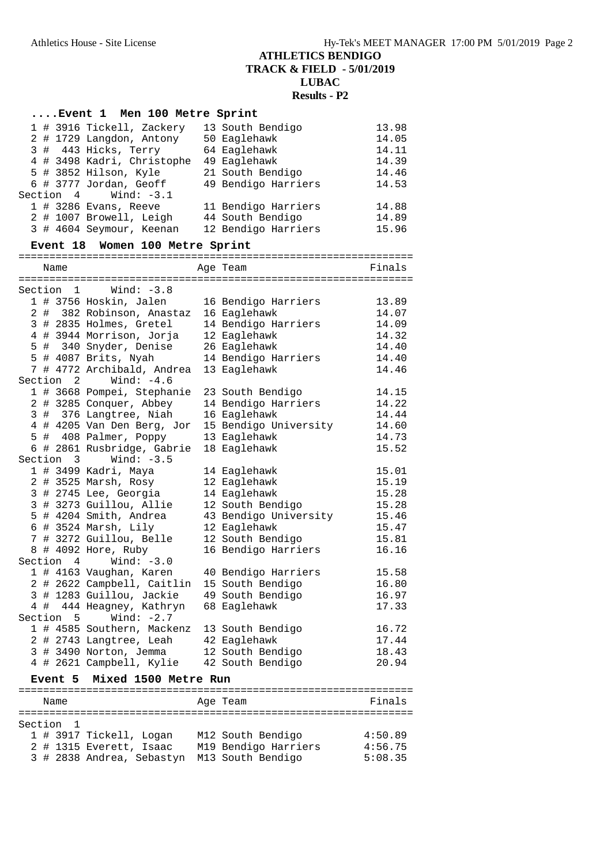|                 | Event 1 Men 100 Metre Sprint                                                              |                       |         |
|-----------------|-------------------------------------------------------------------------------------------|-----------------------|---------|
|                 | 1 # 3916 Tickell, Zackery                                                                 | 13 South Bendigo      | 13.98   |
|                 | 2 # 1729 Langdon, Antony                                                                  | 50 Eaglehawk          | 14.05   |
|                 | 3 # 443 Hicks, Terry                                                                      | 64 Eaglehawk          | 14.11   |
|                 | 4 # 3498 Kadri, Christophe                                                                | 49 Eaglehawk          | 14.39   |
|                 | 5 # 3852 Hilson, Kyle                                                                     | 21 South Bendigo      | 14.46   |
|                 | 6 # 3777 Jordan, Geoff                                                                    | 49 Bendigo Harriers   | 14.53   |
| Section 4       | Wind: $-3.1$                                                                              |                       |         |
|                 | 1 # 3286 Evans, Reeve                                                                     | 11 Bendigo Harriers   | 14.88   |
|                 | 2 # 1007 Browell, Leigh                                                                   | 44 South Bendigo      | 14.89   |
|                 | 3 # 4604 Seymour, Keenan 12 Bendigo Harriers                                              |                       | 15.96   |
| <b>Event 18</b> | Women 100 Metre Sprint                                                                    |                       |         |
|                 |                                                                                           |                       |         |
| Name            |                                                                                           | Age Team              | Finals  |
|                 | Wind: $-3.8$                                                                              |                       |         |
| Section 1       | 1 # 3756 Hoskin, Jalen                                                                    | 16 Bendigo Harriers   | 13.89   |
|                 | 2 # 382 Robinson, Anastaz 16 Eaglehawk                                                    |                       | 14.07   |
|                 | 3 # 2835 Holmes, Gretel 14 Bendigo Harriers                                               |                       | 14.09   |
|                 | Example 12 Eaglebawk<br>5 # 340 Snyder, Denise 26 Eaglebawk<br>5 # 4087 Price 26 Eaglebau |                       | 14.32   |
|                 |                                                                                           |                       | 14.40   |
|                 | 5 # 4087 Brits, Nyah                                                                      | 14 Bendigo Harriers   | 14.40   |
|                 | 7 # 4772 Archibald, Andrea                                                                | 13 Eaglehawk          | 14.46   |
| Section 2       | Wind: $-4.6$                                                                              |                       |         |
|                 | 1 # 3668 Pompei, Stephanie                                                                | 23 South Bendigo      | 14.15   |
|                 | 2 # 3285 Conquer, Abbey                                                                   | 14 Bendigo Harriers   | 14.22   |
|                 | 3 # 376 Langtree, Niah                                                                    | 16 Eaglehawk          | 14.44   |
|                 | 4 # 4205 Van Den Berg, Jor                                                                | 15 Bendigo University | 14.60   |
|                 | 5 # 408 Palmer, Poppy                                                                     | 13 Eaglehawk          | 14.73   |
|                 | 6 # 2861 Rusbridge, Gabrie                                                                | 18 Eaglehawk          | 15.52   |
| Section 3       | Wind: $-3.5$                                                                              |                       |         |
|                 | 1 # 3499 Kadri, Maya                                                                      | 14 Eaglehawk          | 15.01   |
|                 | 2 # 3525 Marsh, Rosy                                                                      | 12 Eaglehawk          | 15.19   |
|                 | 3 # 2745 Lee, Georgia                                                                     | 14 Eaglehawk          | 15.28   |
|                 | 3 # 3273 Guillou, Allie                                                                   | 12 South Bendigo      | 15.28   |
|                 | 5 # 4204 Smith, Andrea                                                                    | 43 Bendigo University | 15.46   |
|                 | $6$ # 3524 Marsh, Lily                                                                    | 12 Eaglehawk          | 15.47   |
|                 | 7 # 3272 Guillou, Belle                                                                   | 12 South Bendigo      | 15.81   |
|                 | 8 # 4092 Hore, Ruby                                                                       | 16 Bendigo Harriers   | 16.16   |
|                 | Section 4 Wind: -3.0                                                                      |                       |         |
|                 | 1 # 4163 Vaughan, Karen                                                                   | 40 Bendigo Harriers   | 15.58   |
|                 | 2 # 2622 Campbell, Caitlin                                                                | 15 South Bendigo      | 16.80   |
|                 | 3 # 1283 Guillou, Jackie                                                                  | 49 South Bendigo      | 16.97   |
|                 | 4 # 444 Heagney, Kathryn                                                                  | 68 Eaglehawk          | 17.33   |
| Section         | Wind: $-2.7$<br>$5^{\circ}$                                                               |                       |         |
|                 | 1 # 4585 Southern, Mackenz                                                                | 13 South Bendigo      | 16.72   |
|                 | 2 # 2743 Langtree, Leah                                                                   | 42 Eaglehawk          | 17.44   |
|                 | 3 # 3490 Norton, Jemma                                                                    | 12 South Bendigo      | 18.43   |
|                 | 4 # 2621 Campbell, Kylie                                                                  | 42 South Bendigo      | 20.94   |
|                 | Mixed 1500 Metre Run                                                                      |                       |         |
| <b>Event 5</b>  |                                                                                           |                       |         |
| Name            |                                                                                           | Age Team              | Finals  |
|                 |                                                                                           |                       |         |
| Section 1       |                                                                                           |                       |         |
|                 | 1 # 3917 Tickell, Logan                                                                   | M12 South Bendigo     | 4:50.89 |
|                 | 2 # 1315 Everett, Isaac                                                                   | M19 Bendigo Harriers  | 4:56.75 |
|                 | 3 # 2838 Andrea, Sebastyn                                                                 | M13 South Bendigo     | 5:08.35 |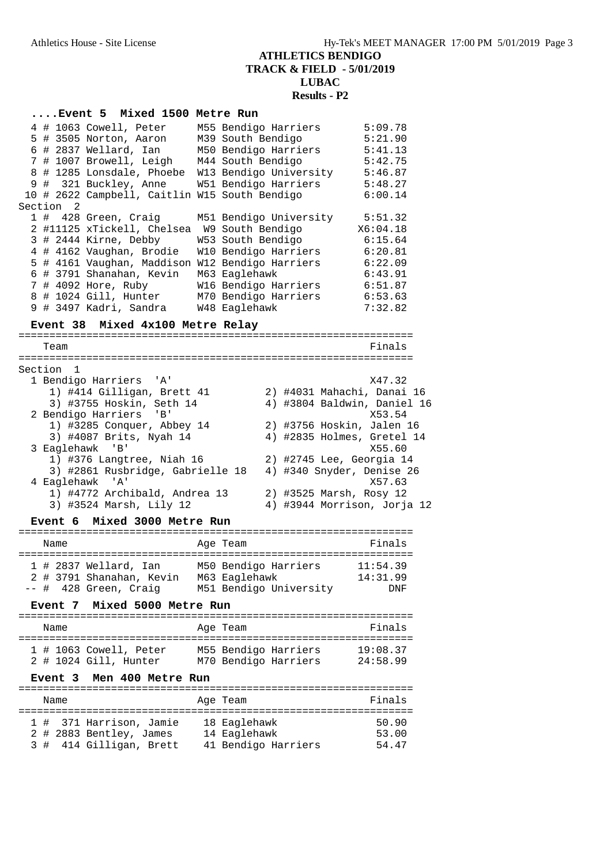|                                  |                      | Event 5 Mixed 1500 Metre Run                  |  |                                                       |          |  |
|----------------------------------|----------------------|-----------------------------------------------|--|-------------------------------------------------------|----------|--|
|                                  |                      | 4 # 1063 Cowell, Peter                        |  | M55 Bendigo Harriers                                  | 5:09.78  |  |
|                                  |                      | 5 # 3505 Norton, Aaron                        |  | M39 South Bendigo                                     | 5:21.90  |  |
|                                  |                      | 6 # 2837 Wellard, Ian                         |  | M50 Bendigo Harriers 5:41.13                          |          |  |
|                                  |                      |                                               |  | 7 # 1007 Browell, Leigh M44 South Bendigo 5:42.75     |          |  |
|                                  |                      |                                               |  | 8 # 1285 Lonsdale, Phoebe W13 Bendigo University      | 5:46.87  |  |
|                                  |                      |                                               |  | 9 # 321 Buckley, Anne W51 Bendigo Harriers            | 5:48.27  |  |
|                                  |                      | 10 # 2622 Campbell, Caitlin W15 South Bendigo |  |                                                       | 6:00.14  |  |
|                                  | Section <sub>2</sub> |                                               |  |                                                       |          |  |
|                                  |                      | 1 # 428 Green, Craig                          |  | M51 Bendigo University                                | 5:51.32  |  |
|                                  |                      | 2 #11125 xTickell, Chelsea W9 South Bendigo   |  |                                                       | X6:04.18 |  |
|                                  |                      |                                               |  | 3 # 2444 Kirne, Debby W53 South Bendigo 6:15.64       |          |  |
|                                  |                      |                                               |  | 4 # 4162 Vaughan, Brodie W10 Bendigo Harriers 6:20.81 |          |  |
|                                  |                      |                                               |  | 5 # 4161 Vaughan, Maddison W12 Bendigo Harriers       | 6:22.09  |  |
|                                  |                      | 6 # 3791 Shanahan, Kevin                      |  | M63 Eaglehawk                                         | 6:43.91  |  |
|                                  |                      | 7 # 4092 Hore, Ruby                           |  | W16 Bendigo Harriers                                  | 6:51.87  |  |
|                                  |                      | 8 # 1024 Gill, Hunter                         |  | M70 Bendigo Harriers                                  | 6:53.63  |  |
|                                  |                      |                                               |  |                                                       | 7:32.82  |  |
| Event 38 Mixed 4x100 Metre Relay |                      |                                               |  |                                                       |          |  |

#### ================================================================ Team Finals ================================================================ Section 1 1 Bendigo Harriers 'A' X47.32 1) #414 Gilligan, Brett 41 2) #4031 Mahachi, Danai 16 3) #3755 Hoskin, Seth 14 4) #3804 Baldwin, Daniel 16 2 Bendigo Harriers 'B' X53.54 1) #3285 Conquer, Abbey 14 2) #3756 Hoskin, Jalen 16 3) #4087 Brits, Nyah 14 4) #2835 Holmes, Gretel 14 3 Eaglehawk 'B' X55.60 1) #376 Langtree, Niah 16 2) #2745 Lee, Georgia 14 3) #2861 Rusbridge, Gabrielle 18 4) #340 Snyder, Denise 26 4 Eaglehawk 'A' X57.63 1) #4772 Archibald, Andrea 13 2) #3525 Marsh, Rosy 12 3) #3524 Marsh, Lily 12 4) #3944 Morrison, Jorja 12

#### **Event 6 Mixed 3000 Metre Run**

| Name |                                                                              | Age Team                                                        | Finals                      |
|------|------------------------------------------------------------------------------|-----------------------------------------------------------------|-----------------------------|
|      | $1$ # 2837 Wellard, Ian<br>2 # 3791 Shanahan, Kevin<br>-- # 428 Green, Craig | M50 Bendigo Harriers<br>M63 Eaglehawk<br>M51 Bendigo University | 11:54.39<br>14:31.99<br>DNF |

### **Event 7 Mixed 5000 Metre Run**

| Name |                                                   | Age Team                                     | Finals               |
|------|---------------------------------------------------|----------------------------------------------|----------------------|
|      | $1$ # 1063 Cowell, Peter<br>2 # 1024 Gill, Hunter | M55 Bendigo Harriers<br>M70 Bendigo Harriers | 19:08.37<br>24:58.99 |

#### **Event 3 Men 400 Metre Run**

|  | Name |                                                    | Age Team                     | Finals         |
|--|------|----------------------------------------------------|------------------------------|----------------|
|  |      | 1 # 371 Harrison, Jamie<br>2 # 2883 Bentley, James | 18 Eaglehawk<br>14 Eaglehawk | 50.90<br>53.00 |
|  |      | 3 # 414 Gilligan, Brett                            | 41 Bendigo Harriers          | 54.47          |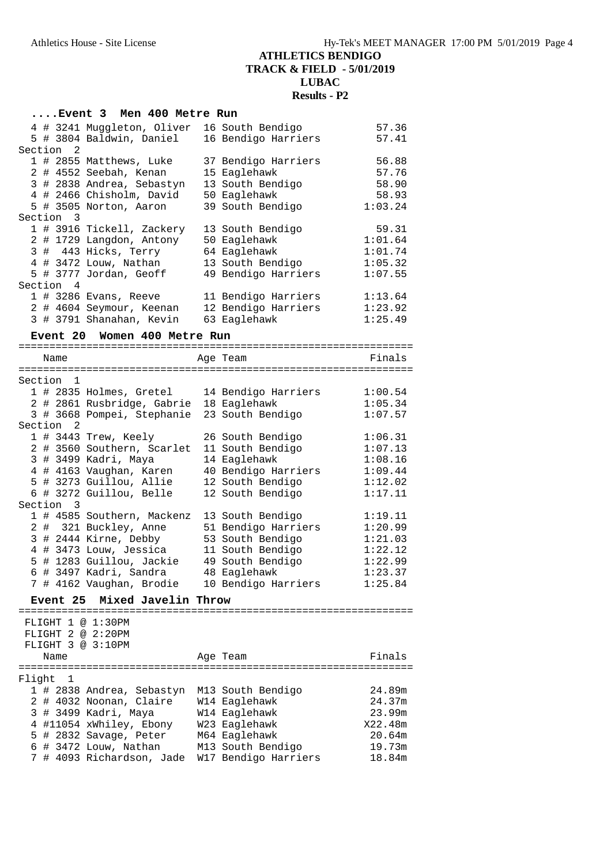### **....Event 3 Men 400 Metre Run** 4 # 3241 Muggleton, Oliver 16 South Bendigo 57.36 5 # 3804 Baldwin, Daniel 16 Bendigo Harriers 57.41 Section 2 1 # 2855 Matthews, Luke 37 Bendigo Harriers 56.88 2 # 4552 Seebah, Kenan 15 Eaglehawk 57.76 3 # 2838 Andrea, Sebastyn 13 South Bendigo 58.90 4 # 2466 Chisholm, David 50 Eaglehawk 58.93 5 # 3505 Norton, Aaron 39 South Bendigo 1:03.24 Section 3 1 # 3916 Tickell, Zackery 13 South Bendigo 59.31 2 # 1729 Langdon, Antony 50 Eaglehawk 1:01.64 3 # 443 Hicks, Terry 64 Eaglehawk 1:01.74 4 # 3472 Louw, Nathan 13 South Bendigo 1:05.32 5 # 3777 Jordan, Geoff 49 Bendigo Harriers 1:07.55 Section 4 1 # 3286 Evans, Reeve 11 Bendigo Harriers 1:13.64 2 # 4604 Seymour, Keenan 12 Bendigo Harriers 1:23.92 3 # 3791 Shanahan, Kevin 63 Eaglehawk 1:25.49 **Event 20 Women 400 Metre Run** ================================================================ Name **Age Team** Age Team Finals ================================================================ Section 1 1 # 2835 Holmes, Gretel 14 Bendigo Harriers 1:00.54 2 # 2861 Rusbridge, Gabrie 18 Eaglehawk 1:05.34 3 # 3668 Pompei, Stephanie 23 South Bendigo 1:07.57 Section 2 1 # 3443 Trew, Keely 26 South Bendigo 1:06.31 2 # 3560 Southern, Scarlet 11 South Bendigo 1:07.13 3 # 3499 Kadri, Maya 14 Eaglehawk 1:08.16 4 # 4163 Vaughan, Karen 40 Bendigo Harriers 1:09.44 5 # 3273 Guillou, Allie 12 South Bendigo 1:12.02 6 # 3272 Guillou, Belle 12 South Bendigo 1:17.11 Section 3<br>1 # 4585 Southern, Mackenz 13 South Bendigo 1 # 4585 Southern, Mackenz 13 South Bendigo 1:19.11 2 # 321 Buckley, Anne 51 Bendigo Harriers 1:20.99 3 # 2444 Kirne, Debby 53 South Bendigo 1:21.03 4 # 3473 Louw, Jessica 11 South Bendigo 1:22.12 5 # 1283 Guillou, Jackie 49 South Bendigo 1:22.99 6 # 3497 Kadri, Sandra 48 Eaglehawk 1:23.37 7 # 4162 Vaughan, Brodie 10 Bendigo Harriers 1:25.84 **Event 25 Mixed Javelin Throw** ================================================================ FLIGHT 1 @ 1:30PM FLIGHT 2 @ 2:20PM FLIGHT 3 @ 3:10PM Name **Age Team** Age Team Finals ================================================================ Flight 1 1 # 2838 Andrea, Sebastyn M13 South Bendigo 24.89m 2 # 4032 Noonan, Claire W14 Eaglehawk 24.37m 3 # 3499 Kadri, Maya W14 Eaglehawk 23.99m 4 #11054 xWhiley, Ebony W23 Eaglehawk X22.48m

 5 # 2832 Savage, Peter M64 Eaglehawk 20.64m 6 # 3472 Louw, Nathan M13 South Bendigo 19.73m 7 # 4093 Richardson, Jade W17 Bendigo Harriers 18.84m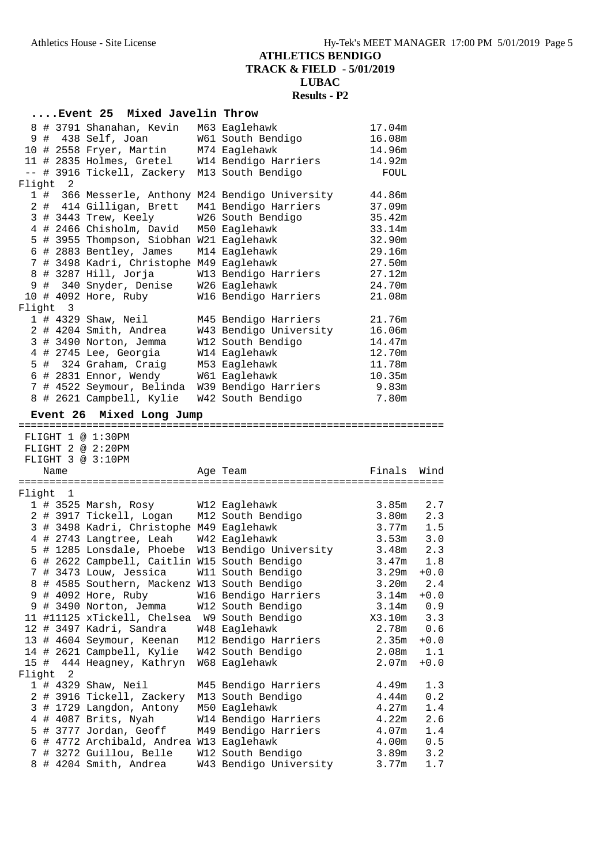|        |          |                      |                                                   | Event 25 Mixed Javelin Throw |                                                                                               |                   |            |
|--------|----------|----------------------|---------------------------------------------------|------------------------------|-----------------------------------------------------------------------------------------------|-------------------|------------|
|        |          |                      |                                                   |                              | 8 # 3791 Shanahan, Kevin M63 Eaglehawk                                                        | 17.04m            |            |
|        |          | 9 # 438 Self, Joan   |                                                   |                              | W61 South Bendigo                                                                             | 16.08m            |            |
|        |          |                      |                                                   |                              | 10 # 2558 Fryer, Martin M74 Eaglehawk                                                         | 14.96m            |            |
|        |          |                      |                                                   |                              |                                                                                               | 14.92m            |            |
|        |          |                      |                                                   |                              | 11 # 2835 Holmes, Gretel W14 Bendigo Harriers<br>-- # 3916 Tickell, Zackery M13 South Bendigo | FOUL              |            |
|        | Flight 2 |                      |                                                   |                              |                                                                                               |                   |            |
|        |          |                      |                                                   |                              | 1 # 366 Messerle, Anthony M24 Bendigo University                                              | 44.86m            |            |
|        |          |                      |                                                   |                              | 2 # 414 Gilligan, Brett M41 Bendigo Harriers                                                  | 37.09m            |            |
|        |          |                      | 3 # 3443 Trew, Keely                              |                              | W26 South Bendigo                                                                             | 35.42m            |            |
|        |          |                      |                                                   |                              | 4 # 2466 Chisholm, David M50 Eaglehawk                                                        | 33.14m            |            |
|        |          |                      |                                                   |                              | 5 # 3955 Thompson, Siobhan W21 Eaglehawk                                                      | 32.90m            |            |
|        |          |                      | 6 # 2883 Bentley, James                           |                              | M14 Eaglehawk                                                                                 | 29.16m            |            |
|        |          |                      |                                                   |                              | 7 # 3498 Kadri, Christophe M49 Eaglehawk                                                      | 27.50m            |            |
|        |          | 8 # 3287 Hill, Jorja |                                                   |                              | W13 Bendigo Harriers                                                                          | 27.12m            |            |
|        |          |                      |                                                   |                              | 9 # 340 Snyder, Denise W26 Eaglehawk                                                          | 24.70m            |            |
|        |          |                      | 10 # 4092 Hore, Ruby                              |                              | W16 Bendigo Harriers                                                                          | 21.08m            |            |
|        | Flight 3 |                      |                                                   |                              |                                                                                               |                   |            |
|        |          | 1 # 4329 Shaw, Neil  |                                                   |                              | M45 Bendigo Harriers                                                                          | 21.76m            |            |
|        |          |                      | 2 # 4204 Smith, Andrea                            |                              | W43 Bendigo University                                                                        | 16.06m            |            |
|        |          |                      | 3 # 3490 Norton, Jemma                            |                              | W12 South Bendigo                                                                             | 14.47m            |            |
|        |          |                      | 4 # 2745 Lee, Georgia                             |                              | W14 Eaglehawk                                                                                 | 12.70m            |            |
|        |          |                      | 5 # 324 Graham, Craig                             |                              | M53 Eaglehawk                                                                                 | 11.78m            |            |
|        |          |                      | 6 # 2831 Ennor, Wendy                             |                              | W61 Eaglehawk                                                                                 | 10.35m            |            |
|        |          |                      |                                                   |                              | 7 # 4522 Seymour, Belinda W39 Bendigo Harriers                                                | 9.83m             |            |
|        |          |                      |                                                   |                              | 8 # 2621 Campbell, Kylie W42 South Bendigo                                                    | 7.80m             |            |
|        |          |                      |                                                   |                              |                                                                                               |                   |            |
|        | Event 26 |                      | Mixed Long Jump                                   |                              |                                                                                               |                   |            |
|        |          | FLIGHT 1 @ 1:30PM    |                                                   |                              |                                                                                               |                   |            |
|        |          | FLIGHT 2 @ 2:20PM    |                                                   |                              |                                                                                               |                   |            |
|        |          | FLIGHT 3 @ 3:10PM    |                                                   |                              |                                                                                               |                   |            |
|        | Name     |                      |                                                   |                              | Age Team                                                                                      | Finals            | Wind       |
|        |          |                      |                                                   |                              |                                                                                               |                   |            |
|        | Flight 1 |                      |                                                   |                              |                                                                                               |                   |            |
|        |          |                      |                                                   |                              | 1 # 3525 Marsh, Rosy W12 Eaglehawk                                                            | 3.85m             | 2.7        |
|        |          |                      |                                                   |                              | 2 # 3917 Tickell, Logan M12 South Bendigo                                                     | 3.80m             | 2.3        |
|        |          |                      |                                                   |                              | 3 # 3498 Kadri, Christophe M49 Eaglehawk                                                      | 3.77m             | 1.5        |
|        |          |                      |                                                   |                              | 4 # 2743 Langtree, Leah W42 Eaglehawk                                                         | 3.53m             | 3.0        |
|        |          |                      |                                                   |                              | 5 # 1285 Lonsdale, Phoebe W13 Bendigo University                                              | 3.48m             | 2.3        |
|        |          |                      |                                                   |                              | 6 # 2622 Campbell, Caitlin W15 South Bendigo                                                  | 3.47m             | 1.8        |
|        |          |                      | 7 # 3473 Louw, Jessica                            |                              | W11 South Bendigo                                                                             | 3.29m             | $+0.0$     |
|        |          |                      |                                                   |                              | 8 # 4585 Southern, Mackenz W13 South Bendigo                                                  | 3.20m             | 2.4        |
|        |          | 9 # 4092 Hore, Ruby  |                                                   |                              | W16 Bendigo Harriers                                                                          | 3.14m             | $+0.0$     |
|        |          |                      | 9 # 3490 Norton, Jemma                            |                              | W12 South Bendigo                                                                             | 3.14m             | 0.9        |
|        |          |                      | 11 #11125 xTickell, Chelsea                       |                              | W9 South Bendigo                                                                              | X3.10m            | 3.3        |
|        |          |                      | 12 # 3497 Kadri, Sandra                           |                              | W48 Eaglehawk                                                                                 | 2.78m             | 0.6        |
|        |          |                      | 13 # 4604 Seymour, Keenan                         |                              | M12 Bendigo Harriers                                                                          | 2.35m             | $+0.0$     |
|        |          |                      | 14 # 2621 Campbell, Kylie                         |                              | W42 South Bendigo                                                                             | 2.08 <sub>m</sub> | 1.1        |
|        |          |                      | 15 # 444 Heagney, Kathryn                         |                              | W68 Eaglehawk                                                                                 | 2.07 <sub>m</sub> | $+0.0$     |
| Flight | 2        |                      |                                                   |                              |                                                                                               |                   |            |
|        |          | 1 # 4329 Shaw, Neil  |                                                   |                              | M45 Bendigo Harriers                                                                          | 4.49m             | 1.3        |
|        |          |                      | 2 # 3916 Tickell, Zackery                         |                              | M13 South Bendigo                                                                             | 4.44m             | 0.2        |
|        |          |                      | 3 # 1729 Langdon, Antony                          |                              |                                                                                               | 4.27m             | 1.4        |
|        |          |                      |                                                   |                              |                                                                                               |                   |            |
|        |          |                      |                                                   |                              | M50 Eaglehawk                                                                                 |                   |            |
|        |          |                      | 4 # 4087 Brits, Nyah                              |                              | W14 Bendigo Harriers                                                                          | 4.22m             |            |
|        |          |                      | 5 # 3777 Jordan, Geoff                            |                              | M49 Bendigo Harriers                                                                          | 4.07m             | 2.6<br>1.4 |
|        |          |                      |                                                   |                              | 6 # 4772 Archibald, Andrea W13 Eaglehawk                                                      | 4.00m             | 0.5        |
|        |          |                      | 7 # 3272 Guillou, Belle<br>8 # 4204 Smith, Andrea |                              | W12 South Bendigo<br>W43 Bendigo University                                                   | 3.89m<br>3.77m    | 3.2<br>1.7 |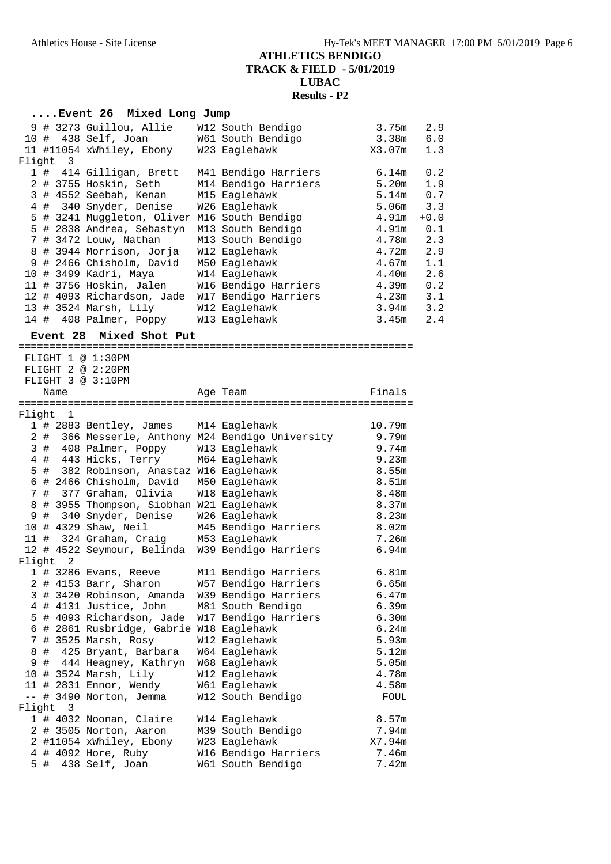### **....Event 26 Mixed Long Jump**

|  |          | 9 # 3273 Guillou, Allie<br>10 # 438 Self, Joan<br>11 #11054 xWhiley, Ebony | W12 South Bendigo<br>W61 South Bendigo<br>W23 Eaglehawk | 3.75m<br>3.38m<br>X3.07m | 2.9<br>6.0<br>1.3 |
|--|----------|----------------------------------------------------------------------------|---------------------------------------------------------|--------------------------|-------------------|
|  | Flight 3 |                                                                            |                                                         |                          |                   |
|  |          | 1 # 414 Gilligan, Brett                                                    | M41 Bendigo Harriers                                    | 6.14m                    | 0.2               |
|  |          | 2 # 3755 Hoskin, Seth                                                      | M14 Bendigo Harriers                                    | 5.20m                    | 1.9               |
|  |          | 3 # 4552 Seebah, Kenan                                                     | M15 Eaglehawk                                           | 5.14m                    | 0.7               |
|  |          | 4 # 340 Snyder, Denise                                                     | W26 Eaglehawk                                           | 5.06m                    | 3.3               |
|  |          | 5 # 3241 Muggleton, Oliver                                                 | M16 South Bendigo                                       | 4.91m                    | $+0.0$            |
|  |          | 5 # 2838 Andrea, Sebastyn                                                  | M13 South Bendigo                                       | 4.91m                    | 0.1               |
|  |          | 7 # 3472 Louw, Nathan                                                      | M13 South Bendigo                                       | 4.78m                    | 2.3               |
|  |          | 8 # 3944 Morrison, Jorja                                                   | W12 Eaglehawk                                           | 4.72m                    | 2.9               |
|  |          | 9 # 2466 Chisholm, David                                                   | M50 Eaglehawk                                           | 4.67m                    | 1.1               |
|  |          | 10 # 3499 Kadri, Maya                                                      | W14 Eaglehawk                                           | 4.40m                    | 2.6               |
|  |          | 11 # 3756 Hoskin, Jalen                                                    | W16 Bendigo Harriers                                    | 4.39m                    | 0.2               |
|  |          | 12 # 4093 Richardson, Jade                                                 | W17 Bendigo Harriers                                    | 4.23m                    | 3.1               |
|  |          | 13 # 3524 Marsh, Lily                                                      | W12 Eaglehawk                                           | 3.94m                    | 3.2               |
|  |          | 14 # 408 Palmer, Poppy                                                     | W13 Eaglehawk                                           | 3.45m                    | 2.4               |

# **Event 28 Mixed Shot Put**

| -40<br>MIXEC<br>סוזפ<br>ruc |   |      |                                          |  |                                                  |                   |
|-----------------------------|---|------|------------------------------------------|--|--------------------------------------------------|-------------------|
|                             |   |      | FLIGHT 1 @ 1:30PM                        |  |                                                  |                   |
|                             |   |      | FLIGHT 2 @ 2:20PM                        |  |                                                  |                   |
|                             |   |      | FLIGHT 3 @ 3:10PM                        |  |                                                  |                   |
|                             |   | Name |                                          |  | Age Team                                         | Finals            |
|                             |   |      |                                          |  |                                                  |                   |
| Flight                      |   | 1    |                                          |  |                                                  |                   |
|                             |   |      | 1 # 2883 Bentley, James                  |  | M14 Eaglehawk                                    | 10.79m            |
|                             |   |      |                                          |  | 2 # 366 Messerle, Anthony M24 Bendigo University | 9.79m             |
|                             |   |      | 3 # 408 Palmer, Poppy                    |  | W13 Eaglehawk                                    | 9.74m             |
|                             |   |      | 4 # 443 Hicks, Terry                     |  | M64 Eaglehawk                                    | 9.23m             |
|                             |   |      | 5 # 382 Robinson, Anastaz W16 Eaglehawk  |  |                                                  | 8.55m             |
|                             |   |      | 6 # 2466 Chisholm, David                 |  | M50 Eaglehawk                                    | 8.51m             |
|                             |   |      | 7 # 377 Graham, Olivia                   |  | W18 Eaglehawk                                    | 8.48m             |
|                             |   |      | 8 # 3955 Thompson, Siobhan W21 Eaglehawk |  |                                                  | 8.37m             |
|                             |   |      | 9 # 340 Snyder, Denise                   |  | W26 Eaglehawk                                    | 8.23m             |
|                             |   |      | 10 # 4329 Shaw, Neil                     |  | M45 Bendigo Harriers                             | 8.02 <sub>m</sub> |
|                             |   |      | 11 # 324 Graham, Craig                   |  | M53 Eaglehawk                                    | 7.26m             |
|                             |   |      | 12 # 4522 Seymour, Belinda               |  | W39 Bendigo Harriers                             | 6.94m             |
| Flight                      |   | 2    |                                          |  |                                                  |                   |
|                             |   |      | $1$ # 3286 Evans, Reeve                  |  | M11 Bendigo Harriers                             | 6.81m             |
|                             |   |      | 2 # 4153 Barr, Sharon                    |  | W57 Bendigo Harriers                             | 6.65m             |
|                             |   |      | 3 # 3420 Robinson, Amanda                |  | W39 Bendigo Harriers                             | 6.47m             |
|                             |   |      | 4 # 4131 Justice, John                   |  | M81 South Bendigo                                | 6.39m             |
|                             |   |      | 5 # 4093 Richardson, Jade                |  | W17 Bendigo Harriers                             | 6.30m             |
|                             |   |      | 6 # 2861 Rusbridge, Gabrie W18 Eaglehawk |  |                                                  | 6.24m             |
|                             |   |      | 7 # 3525 Marsh, Rosy                     |  | W12 Eaglehawk                                    | 5.93m             |
| 8                           |   |      | # 425 Bryant, Barbara                    |  | W64 Eaglehawk                                    | 5.12m             |
| 9                           |   |      | # 444 Heagney, Kathryn                   |  | W68 Eaglehawk                                    | 5.05m             |
|                             |   |      | 10 # 3524 Marsh, Lily                    |  | W12 Eaglehawk                                    | 4.78m             |
|                             |   |      | 11 # 2831 Ennor, Wendy                   |  | W61 Eaglehawk                                    | 4.58m             |
|                             |   |      | -- # 3490 Norton, Jemma                  |  | W12 South Bendigo                                | FOUL              |
| Flight                      |   | 3    |                                          |  |                                                  |                   |
|                             |   |      | 1 # 4032 Noonan, Claire                  |  | W14 Eaglehawk                                    | 8.57m             |
|                             |   |      | 2 # 3505 Norton, Aaron                   |  | M39 South Bendigo                                | 7.94m             |
|                             |   |      | 2 #11054 xWhiley, Ebony                  |  | W23 Eaglehawk                                    | X7.94m            |
|                             |   |      | 4 # 4092 Hore, Ruby                      |  | W16 Bendigo Harriers                             | 7.46m             |
| 5                           | # |      | 438 Self, Joan                           |  | W61 South Bendigo                                | 7.42m             |
|                             |   |      |                                          |  |                                                  |                   |